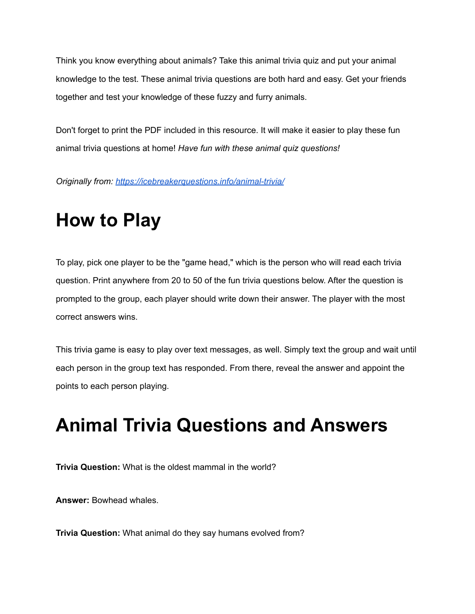Think you know everything about animals? Take this animal trivia quiz and put your animal knowledge to the test. These animal trivia questions are both hard and easy. Get your friends together and test your knowledge of these fuzzy and furry animals.

Don't forget to print the PDF included in this resource. It will make it easier to play these fun animal trivia questions at home! *Have fun with these animal quiz questions!*

*Originally from: <https://icebreakerquestions.info/animal-trivia/>*

## **How to Play**

To play, pick one player to be the "game head," which is the person who will read each trivia question. Print anywhere from 20 to 50 of the fun trivia questions below. After the question is prompted to the group, each player should write down their answer. The player with the most correct answers wins.

This trivia game is easy to play over text messages, as well. Simply text the group and wait until each person in the group text has responded. From there, reveal the answer and appoint the points to each person playing.

## **Animal Trivia Questions and Answers**

**Trivia Question:** What is the oldest mammal in the world?

**Answer:** Bowhead whales.

**Trivia Question:** What animal do they say humans evolved from?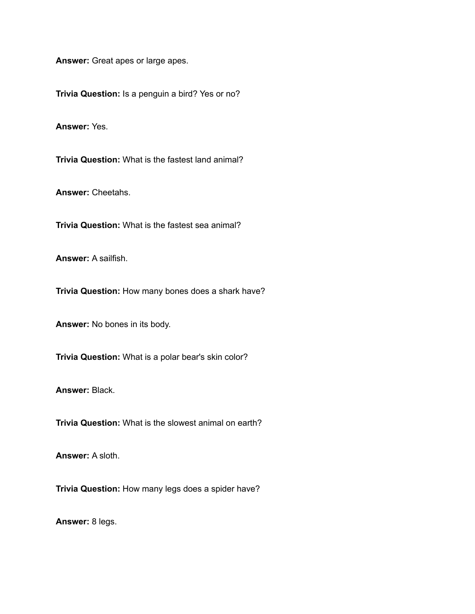**Answer:** Great apes or large apes.

**Trivia Question:** Is a penguin a bird? Yes or no?

**Answer:** Yes.

**Trivia Question:** What is the fastest land animal?

**Answer:** Cheetahs.

**Trivia Question:** What is the fastest sea animal?

**Answer:** A sailfish.

**Trivia Question:** How many bones does a shark have?

**Answer:** No bones in its body.

**Trivia Question:** What is a polar bear's skin color?

**Answer:** Black.

**Trivia Question:** What is the slowest animal on earth?

**Answer:** A sloth.

**Trivia Question:** How many legs does a spider have?

**Answer:** 8 legs.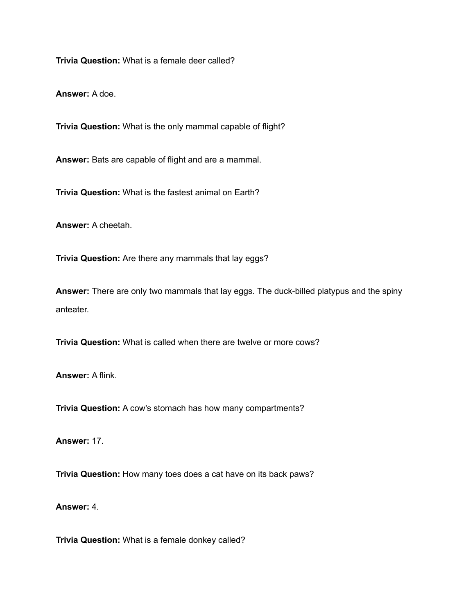**Trivia Question:** What is a female deer called?

**Answer:** A doe.

**Trivia Question:** What is the only mammal capable of flight?

**Answer:** Bats are capable of flight and are a mammal.

**Trivia Question:** What is the fastest animal on Earth?

**Answer:** A cheetah.

**Trivia Question:** Are there any mammals that lay eggs?

**Answer:** There are only two mammals that lay eggs. The duck-billed platypus and the spiny anteater.

**Trivia Question:** What is called when there are twelve or more cows?

**Answer:** A flink.

**Trivia Question:** A cow's stomach has how many compartments?

**Answer:** 17.

**Trivia Question:** How many toes does a cat have on its back paws?

**Answer:** 4.

**Trivia Question:** What is a female donkey called?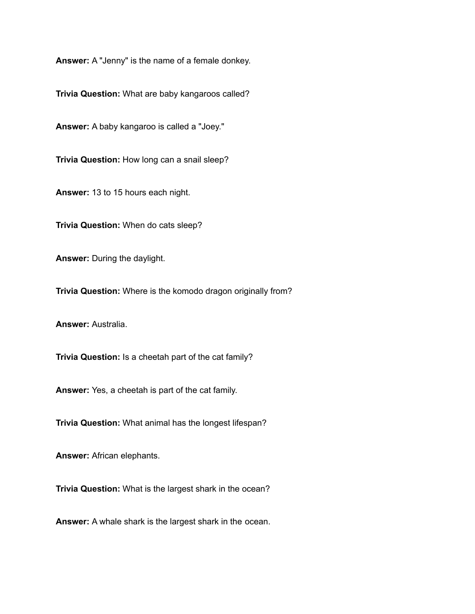**Answer:** A "Jenny" is the name of a female donkey.

**Trivia Question:** What are baby kangaroos called?

**Answer:** A baby kangaroo is called a "Joey."

**Trivia Question:** How long can a snail sleep?

**Answer:** 13 to 15 hours each night.

**Trivia Question:** When do cats sleep?

**Answer:** During the daylight.

**Trivia Question:** Where is the komodo dragon originally from?

**Answer:** Australia.

**Trivia Question:** Is a cheetah part of the cat family?

**Answer:** Yes, a cheetah is part of the cat family.

**Trivia Question:** What animal has the longest lifespan?

**Answer:** African elephants.

**Trivia Question:** What is the largest shark in the ocean?

**Answer:** A whale shark is the largest shark in the ocean.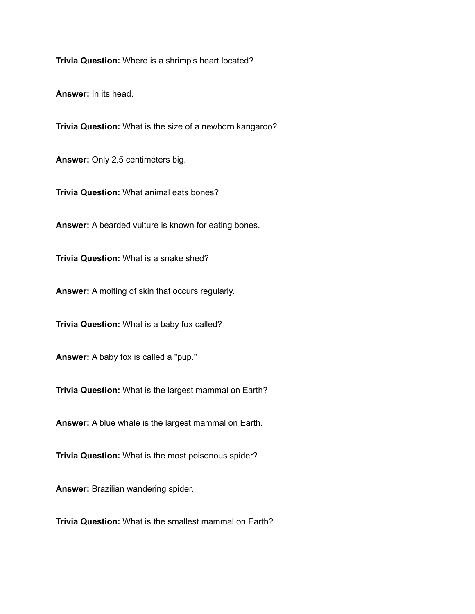**Trivia Question:** Where is a shrimp's heart located?

**Answer:** In its head.

**Trivia Question:** What is the size of a newborn kangaroo?

**Answer:** Only 2.5 centimeters big.

**Trivia Question:** What animal eats bones?

**Answer:** A bearded vulture is known for eating bones.

**Trivia Question:** What is a snake shed?

**Answer:** A molting of skin that occurs regularly.

**Trivia Question:** What is a baby fox called?

**Answer:** A baby fox is called a "pup."

**Trivia Question:** What is the largest mammal on Earth?

**Answer:** A blue whale is the largest mammal on Earth.

**Trivia Question:** What is the most poisonous spider?

**Answer:** Brazilian wandering spider.

**Trivia Question:** What is the smallest mammal on Earth?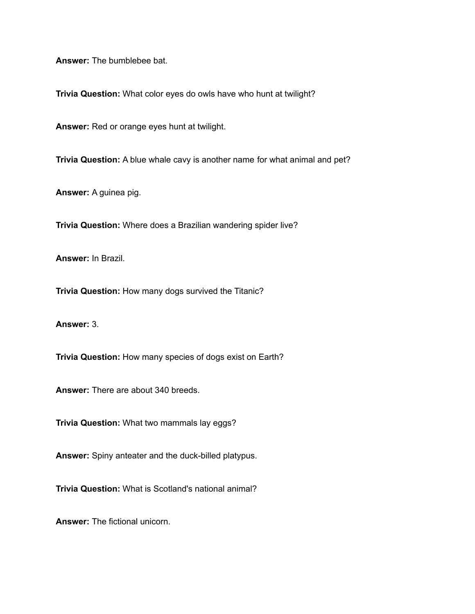**Answer:** The bumblebee bat.

**Trivia Question:** What color eyes do owls have who hunt at twilight?

**Answer:** Red or orange eyes hunt at twilight.

**Trivia Question:** A blue whale cavy is another name for what animal and pet?

**Answer:** A guinea pig.

**Trivia Question:** Where does a Brazilian wandering spider live?

**Answer:** In Brazil.

**Trivia Question:** How many dogs survived the Titanic?

**Answer:** 3.

**Trivia Question:** How many species of dogs exist on Earth?

**Answer:** There are about 340 breeds.

**Trivia Question:** What two mammals lay eggs?

**Answer:** Spiny anteater and the duck-billed platypus.

**Trivia Question:** What is Scotland's national animal?

**Answer:** The fictional unicorn.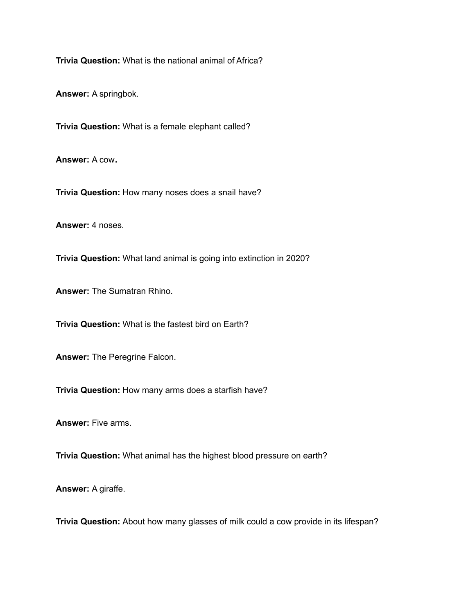**Trivia Question:** What is the national animal of Africa?

**Answer:** A springbok.

**Trivia Question:** What is a female elephant called?

**Answer:** A cow**.**

**Trivia Question:** How many noses does a snail have?

**Answer:** 4 noses.

**Trivia Question:** What land animal is going into extinction in 2020?

**Answer:** The Sumatran Rhino.

**Trivia Question:** What is the fastest bird on Earth?

**Answer:** The Peregrine Falcon.

**Trivia Question:** How many arms does a starfish have?

**Answer:** Five arms.

**Trivia Question:** What animal has the highest blood pressure on earth?

**Answer:** A giraffe.

**Trivia Question:** About how many glasses of milk could a cow provide in its lifespan?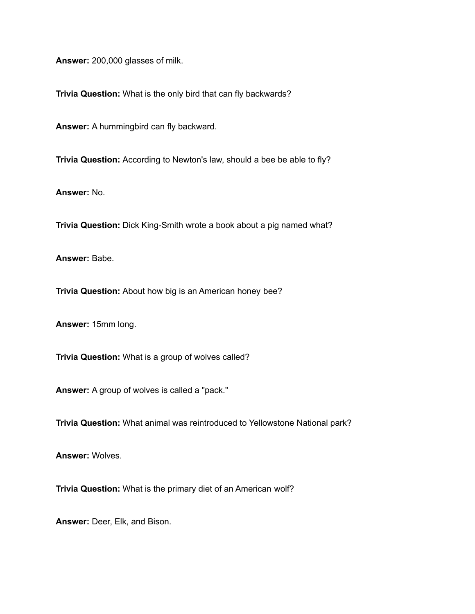**Answer:** 200,000 glasses of milk.

**Trivia Question:** What is the only bird that can fly backwards?

**Answer:** A hummingbird can fly backward.

**Trivia Question:** According to Newton's law, should a bee be able to fly?

**Answer:** No.

**Trivia Question:** Dick King-Smith wrote a book about a pig named what?

**Answer:** Babe.

**Trivia Question:** About how big is an American honey bee?

**Answer:** 15mm long.

**Trivia Question:** What is a group of wolves called?

**Answer:** A group of wolves is called a "pack."

**Trivia Question:** What animal was reintroduced to Yellowstone National park?

**Answer:** Wolves.

**Trivia Question:** What is the primary diet of an American wolf?

**Answer:** Deer, Elk, and Bison.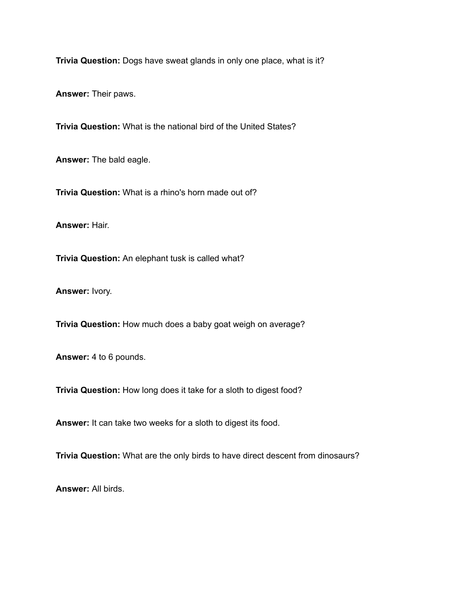**Trivia Question:** Dogs have sweat glands in only one place, what is it?

**Answer:** Their paws.

**Trivia Question:** What is the national bird of the United States?

**Answer:** The bald eagle.

**Trivia Question:** What is a rhino's horn made out of?

**Answer:** Hair.

**Trivia Question:** An elephant tusk is called what?

**Answer:** Ivory.

**Trivia Question:** How much does a baby goat weigh on average?

**Answer:** 4 to 6 pounds.

**Trivia Question:** How long does it take for a sloth to digest food?

**Answer:** It can take two weeks for a sloth to digest its food.

**Trivia Question:** What are the only birds to have direct descent from dinosaurs?

**Answer:** All birds.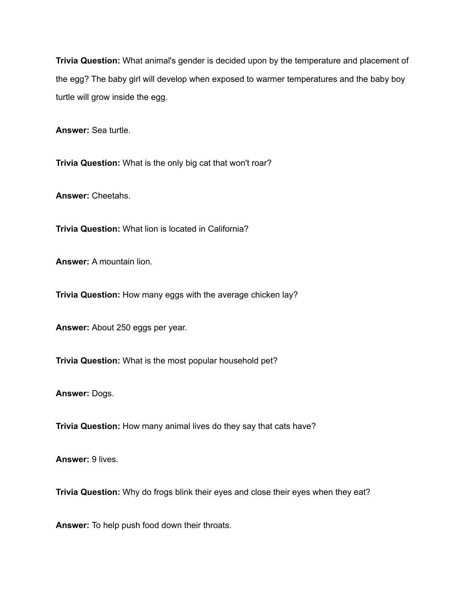**Trivia Question:** What animal's gender is decided upon by the temperature and placement of the egg? The baby girl will develop when exposed to warmer temperatures and the baby boy turtle will grow inside the egg.

**Answer:** Sea turtle.

**Trivia Question:** What is the only big cat that won't roar?

**Answer:** Cheetahs.

**Trivia Question:** What lion is located in California?

**Answer:** A mountain lion.

**Trivia Question:** How many eggs with the average chicken lay?

**Answer:** About 250 eggs per year.

**Trivia Question:** What is the most popular household pet?

**Answer:** Dogs.

**Trivia Question:** How many animal lives do they say that cats have?

**Answer:** 9 lives.

**Trivia Question:** Why do frogs blink their eyes and close their eyes when they eat?

**Answer:** To help push food down their throats.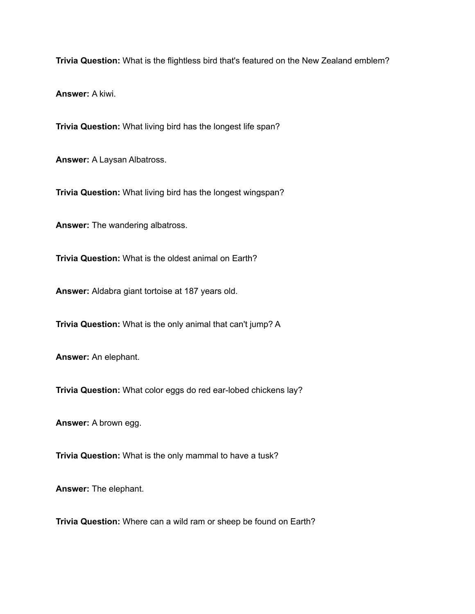**Trivia Question:** What is the flightless bird that's featured on the New Zealand emblem?

**Answer:** A kiwi.

**Trivia Question:** What living bird has the longest life span?

**Answer:** A Laysan Albatross.

**Trivia Question:** What living bird has the longest wingspan?

**Answer:** The wandering albatross.

**Trivia Question:** What is the oldest animal on Earth?

**Answer:** Aldabra giant tortoise at 187 years old.

**Trivia Question:** What is the only animal that can't jump? A

**Answer:** An elephant.

**Trivia Question:** What color eggs do red ear-lobed chickens lay?

**Answer:** A brown egg.

**Trivia Question:** What is the only mammal to have a tusk?

**Answer:** The elephant.

**Trivia Question:** Where can a wild ram or sheep be found on Earth?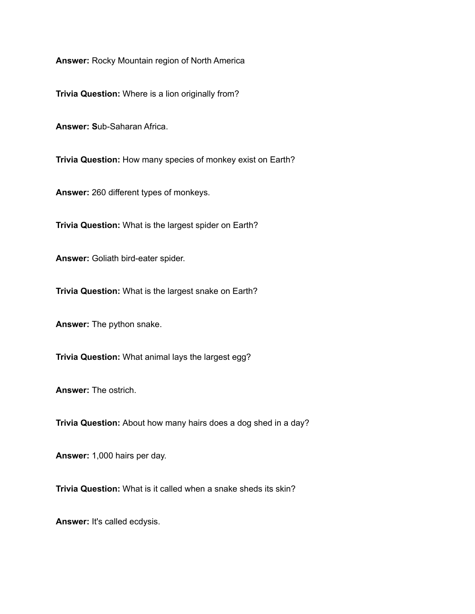**Answer:** Rocky Mountain region of North America

**Trivia Question:** Where is a lion originally from?

**Answer: S**ub-Saharan Africa.

**Trivia Question:** How many species of monkey exist on Earth?

**Answer:** 260 different types of monkeys.

**Trivia Question:** What is the largest spider on Earth?

**Answer:** Goliath bird-eater spider.

**Trivia Question:** What is the largest snake on Earth?

**Answer:** The python snake.

**Trivia Question:** What animal lays the largest egg?

**Answer:** The ostrich.

**Trivia Question:** About how many hairs does a dog shed in a day?

**Answer:** 1,000 hairs per day.

**Trivia Question:** What is it called when a snake sheds its skin?

**Answer:** It's called ecdysis.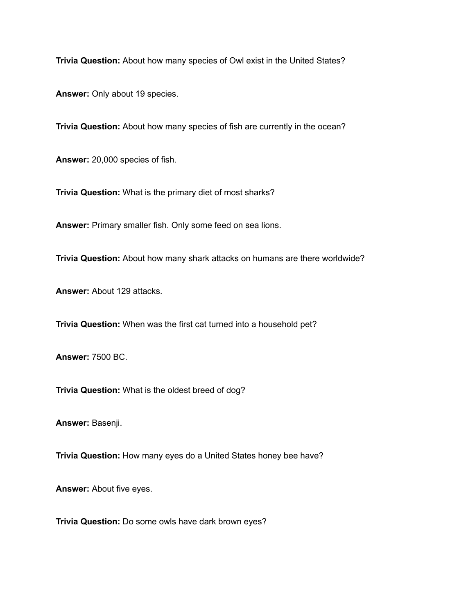**Trivia Question:** About how many species of Owl exist in the United States?

**Answer:** Only about 19 species.

**Trivia Question:** About how many species of fish are currently in the ocean?

**Answer:** 20,000 species of fish.

**Trivia Question:** What is the primary diet of most sharks?

**Answer:** Primary smaller fish. Only some feed on sea lions.

**Trivia Question:** About how many shark attacks on humans are there worldwide?

**Answer:** About 129 attacks.

**Trivia Question:** When was the first cat turned into a household pet?

**Answer:** 7500 BC.

**Trivia Question:** What is the oldest breed of dog?

**Answer:** Basenji.

**Trivia Question:** How many eyes do a United States honey bee have?

**Answer:** About five eyes.

**Trivia Question:** Do some owls have dark brown eyes?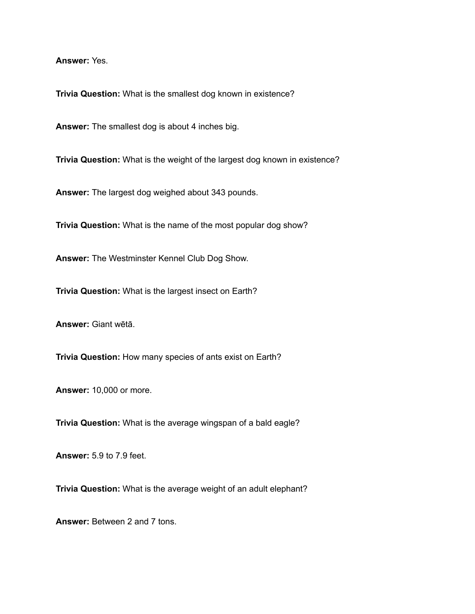**Answer:** Yes.

**Trivia Question:** What is the smallest dog known in existence?

**Answer:** The smallest dog is about 4 inches big.

**Trivia Question:** What is the weight of the largest dog known in existence?

**Answer:** The largest dog weighed about 343 pounds.

**Trivia Question:** What is the name of the most popular dog show?

**Answer:** The Westminster Kennel Club Dog Show.

**Trivia Question:** What is the largest insect on Earth?

**Answer:** Giant wētā.

**Trivia Question:** How many species of ants exist on Earth?

**Answer:** 10,000 or more.

**Trivia Question:** What is the average wingspan of a bald eagle?

**Answer:** 5.9 to 7.9 feet.

**Trivia Question:** What is the average weight of an adult elephant?

**Answer:** Between 2 and 7 tons.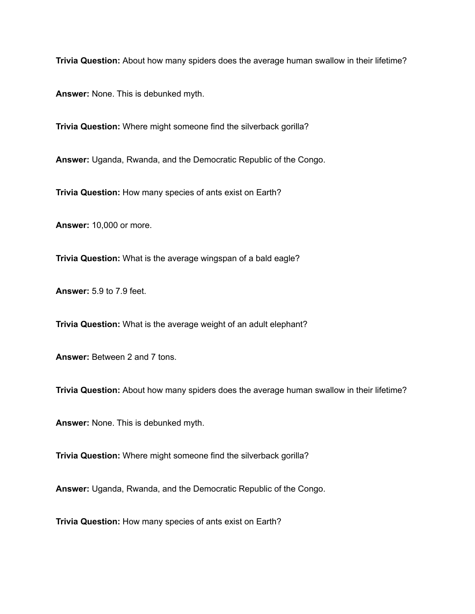**Trivia Question:** About how many spiders does the average human swallow in their lifetime?

**Answer:** None. This is debunked myth.

**Trivia Question:** Where might someone find the silverback gorilla?

**Answer:** Uganda, Rwanda, and the Democratic Republic of the Congo.

**Trivia Question:** How many species of ants exist on Earth?

**Answer:** 10,000 or more.

**Trivia Question:** What is the average wingspan of a bald eagle?

**Answer:** 5.9 to 7.9 feet.

**Trivia Question:** What is the average weight of an adult elephant?

**Answer:** Between 2 and 7 tons.

**Trivia Question:** About how many spiders does the average human swallow in their lifetime?

**Answer:** None. This is debunked myth.

**Trivia Question:** Where might someone find the silverback gorilla?

**Answer:** Uganda, Rwanda, and the Democratic Republic of the Congo.

**Trivia Question:** How many species of ants exist on Earth?